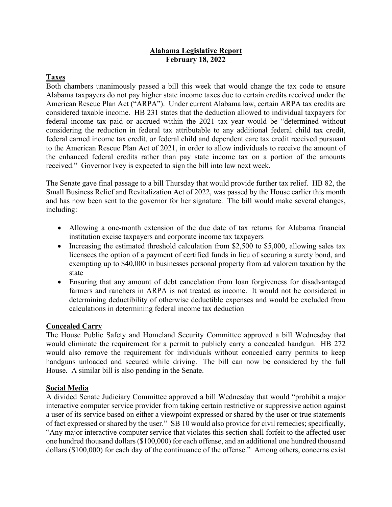#### **Alabama Legislative Report February 18, 2022**

### **Taxes**

Both chambers unanimously passed a bill this week that would change the tax code to ensure Alabama taxpayers do not pay higher state income taxes due to certain credits received under the American Rescue Plan Act ("ARPA"). Under current Alabama law, certain ARPA tax credits are considered taxable income. HB 231 states that the deduction allowed to individual taxpayers for federal income tax paid or accrued within the 2021 tax year would be "determined without considering the reduction in federal tax attributable to any additional federal child tax credit, federal earned income tax credit, or federal child and dependent care tax credit received pursuant to the American Rescue Plan Act of 2021, in order to allow individuals to receive the amount of the enhanced federal credits rather than pay state income tax on a portion of the amounts received." Governor Ivey is expected to sign the bill into law next week.

The Senate gave final passage to a bill Thursday that would provide further tax relief. HB 82, the Small Business Relief and Revitalization Act of 2022, was passed by the House earlier this month and has now been sent to the governor for her signature. The bill would make several changes, including:

- Allowing a one-month extension of the due date of tax returns for Alabama financial institution excise taxpayers and corporate income tax taxpayers
- Increasing the estimated threshold calculation from \$2,500 to \$5,000, allowing sales tax licensees the option of a payment of certified funds in lieu of securing a surety bond, and exempting up to \$40,000 in businesses personal property from ad valorem taxation by the state
- Ensuring that any amount of debt cancelation from loan forgiveness for disadvantaged farmers and ranchers in ARPA is not treated as income. It would not be considered in determining deductibility of otherwise deductible expenses and would be excluded from calculations in determining federal income tax deduction

### **Concealed Carry**

The House Public Safety and Homeland Security Committee approved a bill Wednesday that would eliminate the requirement for a permit to publicly carry a concealed handgun. HB 272 would also remove the requirement for individuals without concealed carry permits to keep handguns unloaded and secured while driving. The bill can now be considered by the full House. A similar bill is also pending in the Senate.

#### **Social Media**

A divided Senate Judiciary Committee approved a bill Wednesday that would "prohibit a major interactive computer service provider from taking certain restrictive or suppressive action against a user of its service based on either a viewpoint expressed or shared by the user or true statements of fact expressed or shared by the user." SB 10 would also provide for civil remedies; specifically, "Any major interactive computer service that violates this section shall forfeit to the affected user one hundred thousand dollars (\$100,000) for each offense, and an additional one hundred thousand dollars (\$100,000) for each day of the continuance of the offense." Among others, concerns exist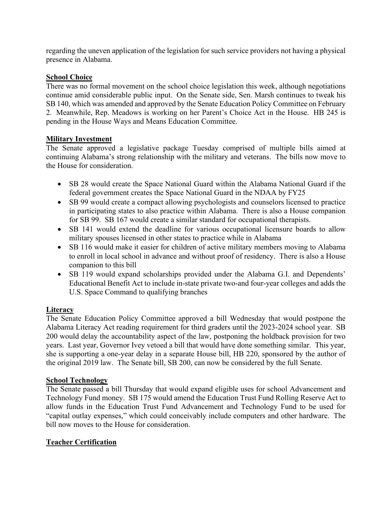regarding the uneven application of the legislation for such service providers not having a physical presence in Alabama.

### **School Choice**

There was no formal movement on the school choice legislation this week, although negotiations continue amid considerable public input. On the Senate side, Sen. Marsh continues to tweak his SB 140, which was amended and approved by the Senate Education Policy Committee on February 2. Meanwhile, Rep. Meadows is working on her Parent's Choice Act in the House. HB 245 is pending in the House Ways and Means Education Committee.

## **Military Investment**

The Senate approved a legislative package Tuesday comprised of multiple bills aimed at continuing Alabama's strong relationship with the military and veterans. The bills now move to the House for consideration.

- SB 28 would create the Space National Guard within the Alabama National Guard if the federal government creates the Space National Guard in the NDAA by FY25
- SB 99 would create a compact allowing psychologists and counselors licensed to practice in participating states to also practice within Alabama. There is also a House companion for SB 99. SB 167 would create a similar standard for occupational therapists.
- SB 141 would extend the deadline for various occupational licensure boards to allow military spouses licensed in other states to practice while in Alabama
- SB 116 would make it easier for children of active military members moving to Alabama to enroll in local school in advance and without proof of residency. There is also a House companion to this bill
- SB 119 would expand scholarships provided under the Alabama G.I. and Dependents' Educational Benefit Act to include in-state private two-and four-year colleges and adds the U.S. Space Command to qualifying branches

# **Literacy**

The Senate Education Policy Committee approved a bill Wednesday that would postpone the Alabama Literacy Act reading requirement for third graders until the 2023-2024 school year. SB 200 would delay the accountability aspect of the law, postponing the holdback provision for two years. Last year, Governor Ivey vetoed a bill that would have done something similar. This year, she is supporting a one-year delay in a separate House bill, HB 220, sponsored by the author of the original 2019 law. The Senate bill, SB 200, can now be considered by the full Senate.

# **School Technology**

The Senate passed a bill Thursday that would expand eligible uses for school Advancement and Technology Fund money. SB 175 would amend the Education Trust Fund Rolling Reserve Act to allow funds in the Education Trust Fund Advancement and Technology Fund to be used for "capital outlay expenses," which could conceivably include computers and other hardware. The bill now moves to the House for consideration.

# **Teacher Certification**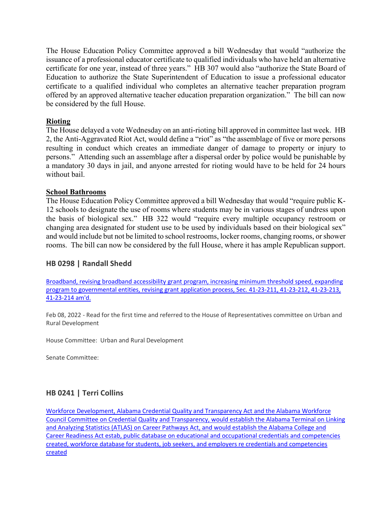The House Education Policy Committee approved a bill Wednesday that would "authorize the issuance of a professional educator certificate to qualified individuals who have held an alternative certificate for one year, instead of three years." HB 307 would also "authorize the State Board of Education to authorize the State Superintendent of Education to issue a professional educator certificate to a qualified individual who completes an alternative teacher preparation program offered by an approved alternative teacher education preparation organization." The bill can now be considered by the full House.

#### **Rioting**

The House delayed a vote Wednesday on an anti-rioting bill approved in committee last week. HB 2, the Anti-Aggravated Riot Act, would define a "riot" as "the assemblage of five or more persons resulting in conduct which creates an immediate danger of damage to property or injury to persons." Attending such an assemblage after a dispersal order by police would be punishable by a mandatory 30 days in jail, and anyone arrested for rioting would have to be held for 24 hours without bail.

#### **School Bathrooms**

The House Education Policy Committee approved a bill Wednesday that would "require public K-12 schools to designate the use of rooms where students may be in various stages of undress upon the basis of biological sex." HB 322 would "require every multiple occupancy restroom or changing area designated for student use to be used by individuals based on their biological sex" and would include but not be limited to school restrooms, locker rooms, changing rooms, or shower rooms. The bill can now be considered by the full House, where it has ample Republican support.

### **HB 0298 | Randall Shedd**

[Broadband, revising broadband accessibility grant program, increasing minimum threshold speed, expanding](https://url.emailprotection.link/?bdcMlAL-3U9xqxpyCHbQ0ixKvK_SCELZ1EIEMgowX3Oz6Urx5wLBLHg9VXNAiSQwkfUMV7SHeRR_E2_7n1V43-rmM48JMFoNzC1Vm_qSYfAI2SqHeuR4q5YGkY47ISKXEJ8459ybpTeh2UE3f8eH2IY4ayqFFBiA_7-U4NFUfi4BICoIGhqq8e0jpQLWqAKTZ0TZS7iA4tHGo6g4PxE6khs1xzjnAVrTVI7iUPhBE4R1SffSHzBfupNG5cCpLkgrp4J1Ye5Kr4_AQO-W5LukDyeIrnTo2L_5QxVhOAs7qW8hmuzRdxtixgS40e9EjGJlYB3d1d92DaAfpag560m0SCd6PSXct4r91M4a-OWIHlMm8NodoFpoaRhuNiJr2eFIRwONEh5eugliqU0SPaNnknyl3o4Fju-YCzNSDKR0UKNQj1Lv4AFOH1AB0ZCVU3Py3n2Ihj5CPzi_3d9N0l6xVodKLbTyRSk1n5a7L2qNnaKOalpfw8SXCeeXVH6Wl1qaUtMEfkWfO8_5htnypJh6s7ye1ggW_wN7bEg0G1VfjRkDdWDTkYD9UtxVVfDlerdCb8zm07XUkkFv5aaCYGK7THx9J0QAnsINHm0XcLoz6UIVZB94EietkHbkfzCMup4Pd)  [program to governmental entities, revising grant application process, Sec. 41-23-211, 41-23-212, 41-23-213,](https://url.emailprotection.link/?bdcMlAL-3U9xqxpyCHbQ0ixKvK_SCELZ1EIEMgowX3Oz6Urx5wLBLHg9VXNAiSQwkfUMV7SHeRR_E2_7n1V43-rmM48JMFoNzC1Vm_qSYfAI2SqHeuR4q5YGkY47ISKXEJ8459ybpTeh2UE3f8eH2IY4ayqFFBiA_7-U4NFUfi4BICoIGhqq8e0jpQLWqAKTZ0TZS7iA4tHGo6g4PxE6khs1xzjnAVrTVI7iUPhBE4R1SffSHzBfupNG5cCpLkgrp4J1Ye5Kr4_AQO-W5LukDyeIrnTo2L_5QxVhOAs7qW8hmuzRdxtixgS40e9EjGJlYB3d1d92DaAfpag560m0SCd6PSXct4r91M4a-OWIHlMm8NodoFpoaRhuNiJr2eFIRwONEh5eugliqU0SPaNnknyl3o4Fju-YCzNSDKR0UKNQj1Lv4AFOH1AB0ZCVU3Py3n2Ihj5CPzi_3d9N0l6xVodKLbTyRSk1n5a7L2qNnaKOalpfw8SXCeeXVH6Wl1qaUtMEfkWfO8_5htnypJh6s7ye1ggW_wN7bEg0G1VfjRkDdWDTkYD9UtxVVfDlerdCb8zm07XUkkFv5aaCYGK7THx9J0QAnsINHm0XcLoz6UIVZB94EietkHbkfzCMup4Pd)  [41-23-214 am'd.](https://url.emailprotection.link/?bdcMlAL-3U9xqxpyCHbQ0ixKvK_SCELZ1EIEMgowX3Oz6Urx5wLBLHg9VXNAiSQwkfUMV7SHeRR_E2_7n1V43-rmM48JMFoNzC1Vm_qSYfAI2SqHeuR4q5YGkY47ISKXEJ8459ybpTeh2UE3f8eH2IY4ayqFFBiA_7-U4NFUfi4BICoIGhqq8e0jpQLWqAKTZ0TZS7iA4tHGo6g4PxE6khs1xzjnAVrTVI7iUPhBE4R1SffSHzBfupNG5cCpLkgrp4J1Ye5Kr4_AQO-W5LukDyeIrnTo2L_5QxVhOAs7qW8hmuzRdxtixgS40e9EjGJlYB3d1d92DaAfpag560m0SCd6PSXct4r91M4a-OWIHlMm8NodoFpoaRhuNiJr2eFIRwONEh5eugliqU0SPaNnknyl3o4Fju-YCzNSDKR0UKNQj1Lv4AFOH1AB0ZCVU3Py3n2Ihj5CPzi_3d9N0l6xVodKLbTyRSk1n5a7L2qNnaKOalpfw8SXCeeXVH6Wl1qaUtMEfkWfO8_5htnypJh6s7ye1ggW_wN7bEg0G1VfjRkDdWDTkYD9UtxVVfDlerdCb8zm07XUkkFv5aaCYGK7THx9J0QAnsINHm0XcLoz6UIVZB94EietkHbkfzCMup4Pd)

Feb 08, 2022 - Read for the first time and referred to the House of Representatives committee on Urban and Rural Development

House Committee: Urban and Rural Development

Senate Committee:

### **HB 0241 | Terri Collins**

[Workforce Development, Alabama Credential Quality and Transparency Act and the Alabama Workforce](https://url.emailprotection.link/?by1TmPCRJfQOhixe9LHcydrKbuux5lC8oKsTTxC9ciYJX0Xg2gWSmGfY2wVMp0SNTWZ10bYHo0vdbVtcBjCKzR17OIjGD2ROuznYt6c04NznQJZGhFG2yx_5A0X7tHcP4mFMTf4zDNOEKLQSVneslPsqJrGSM068dPochDxL7mbpbrCVwp8pJOXaJT398xXLX7I783XxTLaSQSg8gQGDswdlFtBJdvgtPsMT7y8FYU-pLr72ZEed8fYV9gGHBBUv4RvQS-okrJi9OggQGJmo8M3Fn-f6hWC4eKhqIJZWo3_lquoeTJJUHS3Q-H1GDqwhrMgYs_ModI3uAVxuq33VJDifLaT1uUFq2WsnEs59EVbf8B8ePiHforiWYP1Y7w5EcTmlyKQqmFy6nVGcejLp1Myx17arTKv1tWJJ2dDmvGHBM_LVoTw05XtuU0MwFjdmNr3R_MN3K4xRsUY7ezal0LpcdC7Cp-mJPf1mqqTrfa6akuTIfDRYicyKk1B91QHxom2lcrNQ43mmULo-mZJIGgMK2tsClxdJDWXox6NOF6cxdDmp1li_ngl1JWTbBiwSMRrJASu527nMGuHzOqKdZ-6d448Mp9OmB9eKaY8zOPDN_LomIyKzPCE5bgFU8uHTb)  [Council Committee on Credential Quality and Transparency, would establish the Alabama Terminal on Linking](https://url.emailprotection.link/?by1TmPCRJfQOhixe9LHcydrKbuux5lC8oKsTTxC9ciYJX0Xg2gWSmGfY2wVMp0SNTWZ10bYHo0vdbVtcBjCKzR17OIjGD2ROuznYt6c04NznQJZGhFG2yx_5A0X7tHcP4mFMTf4zDNOEKLQSVneslPsqJrGSM068dPochDxL7mbpbrCVwp8pJOXaJT398xXLX7I783XxTLaSQSg8gQGDswdlFtBJdvgtPsMT7y8FYU-pLr72ZEed8fYV9gGHBBUv4RvQS-okrJi9OggQGJmo8M3Fn-f6hWC4eKhqIJZWo3_lquoeTJJUHS3Q-H1GDqwhrMgYs_ModI3uAVxuq33VJDifLaT1uUFq2WsnEs59EVbf8B8ePiHforiWYP1Y7w5EcTmlyKQqmFy6nVGcejLp1Myx17arTKv1tWJJ2dDmvGHBM_LVoTw05XtuU0MwFjdmNr3R_MN3K4xRsUY7ezal0LpcdC7Cp-mJPf1mqqTrfa6akuTIfDRYicyKk1B91QHxom2lcrNQ43mmULo-mZJIGgMK2tsClxdJDWXox6NOF6cxdDmp1li_ngl1JWTbBiwSMRrJASu527nMGuHzOqKdZ-6d448Mp9OmB9eKaY8zOPDN_LomIyKzPCE5bgFU8uHTb)  [and Analyzing Statistics \(ATLAS\) on Career Pathways Act, and would establish the Alabama College and](https://url.emailprotection.link/?by1TmPCRJfQOhixe9LHcydrKbuux5lC8oKsTTxC9ciYJX0Xg2gWSmGfY2wVMp0SNTWZ10bYHo0vdbVtcBjCKzR17OIjGD2ROuznYt6c04NznQJZGhFG2yx_5A0X7tHcP4mFMTf4zDNOEKLQSVneslPsqJrGSM068dPochDxL7mbpbrCVwp8pJOXaJT398xXLX7I783XxTLaSQSg8gQGDswdlFtBJdvgtPsMT7y8FYU-pLr72ZEed8fYV9gGHBBUv4RvQS-okrJi9OggQGJmo8M3Fn-f6hWC4eKhqIJZWo3_lquoeTJJUHS3Q-H1GDqwhrMgYs_ModI3uAVxuq33VJDifLaT1uUFq2WsnEs59EVbf8B8ePiHforiWYP1Y7w5EcTmlyKQqmFy6nVGcejLp1Myx17arTKv1tWJJ2dDmvGHBM_LVoTw05XtuU0MwFjdmNr3R_MN3K4xRsUY7ezal0LpcdC7Cp-mJPf1mqqTrfa6akuTIfDRYicyKk1B91QHxom2lcrNQ43mmULo-mZJIGgMK2tsClxdJDWXox6NOF6cxdDmp1li_ngl1JWTbBiwSMRrJASu527nMGuHzOqKdZ-6d448Mp9OmB9eKaY8zOPDN_LomIyKzPCE5bgFU8uHTb)  [Career Readiness Act estab, public database on educational and occupational credentials and competencies](https://url.emailprotection.link/?by1TmPCRJfQOhixe9LHcydrKbuux5lC8oKsTTxC9ciYJX0Xg2gWSmGfY2wVMp0SNTWZ10bYHo0vdbVtcBjCKzR17OIjGD2ROuznYt6c04NznQJZGhFG2yx_5A0X7tHcP4mFMTf4zDNOEKLQSVneslPsqJrGSM068dPochDxL7mbpbrCVwp8pJOXaJT398xXLX7I783XxTLaSQSg8gQGDswdlFtBJdvgtPsMT7y8FYU-pLr72ZEed8fYV9gGHBBUv4RvQS-okrJi9OggQGJmo8M3Fn-f6hWC4eKhqIJZWo3_lquoeTJJUHS3Q-H1GDqwhrMgYs_ModI3uAVxuq33VJDifLaT1uUFq2WsnEs59EVbf8B8ePiHforiWYP1Y7w5EcTmlyKQqmFy6nVGcejLp1Myx17arTKv1tWJJ2dDmvGHBM_LVoTw05XtuU0MwFjdmNr3R_MN3K4xRsUY7ezal0LpcdC7Cp-mJPf1mqqTrfa6akuTIfDRYicyKk1B91QHxom2lcrNQ43mmULo-mZJIGgMK2tsClxdJDWXox6NOF6cxdDmp1li_ngl1JWTbBiwSMRrJASu527nMGuHzOqKdZ-6d448Mp9OmB9eKaY8zOPDN_LomIyKzPCE5bgFU8uHTb)  [created, workforce database for students, job seekers, and employers re credentials and competencies](https://url.emailprotection.link/?by1TmPCRJfQOhixe9LHcydrKbuux5lC8oKsTTxC9ciYJX0Xg2gWSmGfY2wVMp0SNTWZ10bYHo0vdbVtcBjCKzR17OIjGD2ROuznYt6c04NznQJZGhFG2yx_5A0X7tHcP4mFMTf4zDNOEKLQSVneslPsqJrGSM068dPochDxL7mbpbrCVwp8pJOXaJT398xXLX7I783XxTLaSQSg8gQGDswdlFtBJdvgtPsMT7y8FYU-pLr72ZEed8fYV9gGHBBUv4RvQS-okrJi9OggQGJmo8M3Fn-f6hWC4eKhqIJZWo3_lquoeTJJUHS3Q-H1GDqwhrMgYs_ModI3uAVxuq33VJDifLaT1uUFq2WsnEs59EVbf8B8ePiHforiWYP1Y7w5EcTmlyKQqmFy6nVGcejLp1Myx17arTKv1tWJJ2dDmvGHBM_LVoTw05XtuU0MwFjdmNr3R_MN3K4xRsUY7ezal0LpcdC7Cp-mJPf1mqqTrfa6akuTIfDRYicyKk1B91QHxom2lcrNQ43mmULo-mZJIGgMK2tsClxdJDWXox6NOF6cxdDmp1li_ngl1JWTbBiwSMRrJASu527nMGuHzOqKdZ-6d448Mp9OmB9eKaY8zOPDN_LomIyKzPCE5bgFU8uHTb)  [created](https://url.emailprotection.link/?by1TmPCRJfQOhixe9LHcydrKbuux5lC8oKsTTxC9ciYJX0Xg2gWSmGfY2wVMp0SNTWZ10bYHo0vdbVtcBjCKzR17OIjGD2ROuznYt6c04NznQJZGhFG2yx_5A0X7tHcP4mFMTf4zDNOEKLQSVneslPsqJrGSM068dPochDxL7mbpbrCVwp8pJOXaJT398xXLX7I783XxTLaSQSg8gQGDswdlFtBJdvgtPsMT7y8FYU-pLr72ZEed8fYV9gGHBBUv4RvQS-okrJi9OggQGJmo8M3Fn-f6hWC4eKhqIJZWo3_lquoeTJJUHS3Q-H1GDqwhrMgYs_ModI3uAVxuq33VJDifLaT1uUFq2WsnEs59EVbf8B8ePiHforiWYP1Y7w5EcTmlyKQqmFy6nVGcejLp1Myx17arTKv1tWJJ2dDmvGHBM_LVoTw05XtuU0MwFjdmNr3R_MN3K4xRsUY7ezal0LpcdC7Cp-mJPf1mqqTrfa6akuTIfDRYicyKk1B91QHxom2lcrNQ43mmULo-mZJIGgMK2tsClxdJDWXox6NOF6cxdDmp1li_ngl1JWTbBiwSMRrJASu527nMGuHzOqKdZ-6d448Mp9OmB9eKaY8zOPDN_LomIyKzPCE5bgFU8uHTb)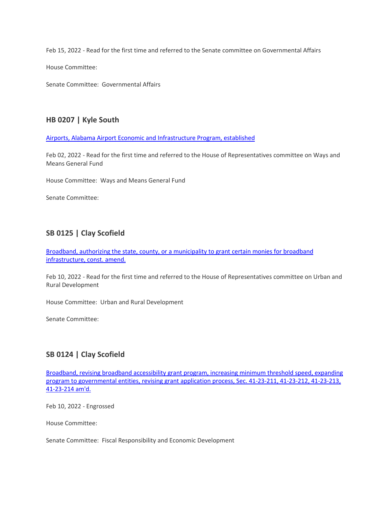Feb 15, 2022 - Read for the first time and referred to the Senate committee on Governmental Affairs

House Committee:

Senate Committee: Governmental Affairs

#### **HB 0207 | Kyle South**

[Airports, Alabama Airport Economic and Infrastructure Program, established](https://url.emailprotection.link/?bJPneDVdwnkW_jzp5tU38RlEUEzB5_A2EoQEHqFDL5hKWezuTWRfLFHMYm5f5mDdQjaApKvosSO_jznQJtP4A5d1A6CLVQjcgzAY06Xl0xyAVg8jYIzJYj9sVF88PnMzCUWRgb4wR8HaXqB6nmQ65hfKp8PP-gB9xPb6p5pCFwnj0ywmbrm_kRaFMPsorAFajieXWCiR7mO51SyjcVqnOnzFIJaOuUhmeyNR-XmVgbiEiBV8Mvqx8mmdXzjFLUC7ZSXZz6Y-M2Pj-SCPKBmoL3PnnUQURc1NtN22H9BPQ7LGqIiEDzyTvNit7HvvofMobHs7TwIR35TWftAItO0XdregyZF7c-uRWdfh0T2u6bWzzsyAu5L7E2bdxvMMRcvZtuo2qR21wZugcqS_izGYxtZTmsgIXpQAM5JQGEUYaPH_cSgewt6bIGHtEWjP6eFXjKaxtwHh1EHd6euY2Aad_tjVOLewaP9L6Q9G_BNZox1_33ZRt-9AcDMg1VnY0Pr5hr8Sp8fPzC-LXacH4WmWvH3QhLz1IPs47mJZBj4CANK8O58o3iqX3gihnjaGrraCxPillypx1ecoSEXfiYH8GAY1QOLlpRzi6XJ9JA9ZKeJTzmJbVm_OfJztR6vOqvEL4)

Feb 02, 2022 - Read for the first time and referred to the House of Representatives committee on Ways and Means General Fund

House Committee: Ways and Means General Fund

Senate Committee:

#### **SB 0125 | Clay Scofield**

[Broadband, authorizing the state, county, or a municipality to grant certain monies for broadband](https://url.emailprotection.link/?bx3Z-cWd4eCKONAbwGvAlajRhMx_Di03NMj6te73sqTAYyzrYNmWSe1arS4YMessh5w9KxutmaOPO1mG7XJWvPA0dls2_-AcQ2kg7nFyObUAG9PosbryLfP1I5ZmseoTevvQ2r8wCUL2U3lQm-2qsjRn0hFx11PIagvSD4wGIu5reF8M_4HdyjPvQAdSOaQKkZX4a8OGSrz58ss94JcQ3FRJPDzsWV_jw7L_EVELIFHo88bUztae8HhNjUhss1nGh8LDwn6pxp9Ird5N-KYDzKsc39nXpfB1IAXPGFUMT6j5PAULizvlt5fOxabbIwXe996ZygDkLuICn2XoPSo7YZ9FiX2wZ5g_4NWfjLHExs8Uv4K-I7KI8hicMSkA1phz2iNghOe6LxCDqgdVRyhk2-vad8NJFWRODRwgaexQivhdVrOlWKQJIw3x7MYrwRBMrHIeERGJl2-F6et68UoEcHYjPbRrFqsvl8i8JHlhORFBz4y32TvdAYMJW3JvkbnqxKBnaUPmxUch6HWraCkEmCIRr2NwB7DofSKcpRLNBOGXN6WPtBZ3C5TD4wsFQoTEn7LNSd85iS5lRl5pgIjYGi2atMQR0llnEk9mpvta5Hf-6u0lUvRmPYdcsfDs1YTFT)  [infrastructure, const. amend.](https://url.emailprotection.link/?bx3Z-cWd4eCKONAbwGvAlajRhMx_Di03NMj6te73sqTAYyzrYNmWSe1arS4YMessh5w9KxutmaOPO1mG7XJWvPA0dls2_-AcQ2kg7nFyObUAG9PosbryLfP1I5ZmseoTevvQ2r8wCUL2U3lQm-2qsjRn0hFx11PIagvSD4wGIu5reF8M_4HdyjPvQAdSOaQKkZX4a8OGSrz58ss94JcQ3FRJPDzsWV_jw7L_EVELIFHo88bUztae8HhNjUhss1nGh8LDwn6pxp9Ird5N-KYDzKsc39nXpfB1IAXPGFUMT6j5PAULizvlt5fOxabbIwXe996ZygDkLuICn2XoPSo7YZ9FiX2wZ5g_4NWfjLHExs8Uv4K-I7KI8hicMSkA1phz2iNghOe6LxCDqgdVRyhk2-vad8NJFWRODRwgaexQivhdVrOlWKQJIw3x7MYrwRBMrHIeERGJl2-F6et68UoEcHYjPbRrFqsvl8i8JHlhORFBz4y32TvdAYMJW3JvkbnqxKBnaUPmxUch6HWraCkEmCIRr2NwB7DofSKcpRLNBOGXN6WPtBZ3C5TD4wsFQoTEn7LNSd85iS5lRl5pgIjYGi2atMQR0llnEk9mpvta5Hf-6u0lUvRmPYdcsfDs1YTFT)

Feb 10, 2022 - Read for the first time and referred to the House of Representatives committee on Urban and Rural Development

House Committee: Urban and Rural Development

Senate Committee:

### **SB 0124 | Clay Scofield**

[Broadband, revising broadband accessibility grant program, increasing minimum threshold speed, expanding](https://url.emailprotection.link/?b375tFb81iuWnFXUjKvDsTu4dhOn2Wa_yEWPiKSmCeztyMY8zYgbXatIEvhWUd_LLwT89NQLLS-yYFzsEY1WqI1VHzVzNh_UdXvCl1lJxV-peva3WzIM-vl429OzMlWfLUO4WmMOzBskkrnQUvoB6rS-VnMstELa09XINXmmY_zFUGSLsy8ZMbyiaS3bjKb7Fq3gH3IM91KbjKfiu0tqNHMid9YGg0qe70iupnS7-RXTDq1k9ejaIz_GhDj4Gdcedl6lzC5Ds1uNqvbEAtV5aJQUjxvtNdPiFkggOTfvIdJf058xCpmiLbI55l9LOlQfCgoh6BoloefVeiEI1XMIzOxegwL0z3NFBSG9yIhlfA7U0Jgj8ndkqasS-ycXaMSNIMlUaTROK8yShvzFVM3QaqVCqSWwHK_zlWM9Vi0YZtdgw0K8W_IglZLUJ1SU6_76PsKC2UzuaGyfhy1KuYxR7WVA3egtHjaWwVnpfCGpq6-kWtRE2A68yoLKppyTnXreOeX_LQiwPYeSGcCwZ4ZIkMhcGHA5dhcttTvsTlmFnMZp1ObJr42d34zlvK-oN0zUvckSMqbf9unm-BLbILcL8Ag2sjESD85kDlREs1i3GjrdqBZ6DV97n64pYSgoMFFN8)  [program to governmental entities, revising grant application process, Sec. 41-23-211, 41-23-212, 41-23-213,](https://url.emailprotection.link/?b375tFb81iuWnFXUjKvDsTu4dhOn2Wa_yEWPiKSmCeztyMY8zYgbXatIEvhWUd_LLwT89NQLLS-yYFzsEY1WqI1VHzVzNh_UdXvCl1lJxV-peva3WzIM-vl429OzMlWfLUO4WmMOzBskkrnQUvoB6rS-VnMstELa09XINXmmY_zFUGSLsy8ZMbyiaS3bjKb7Fq3gH3IM91KbjKfiu0tqNHMid9YGg0qe70iupnS7-RXTDq1k9ejaIz_GhDj4Gdcedl6lzC5Ds1uNqvbEAtV5aJQUjxvtNdPiFkggOTfvIdJf058xCpmiLbI55l9LOlQfCgoh6BoloefVeiEI1XMIzOxegwL0z3NFBSG9yIhlfA7U0Jgj8ndkqasS-ycXaMSNIMlUaTROK8yShvzFVM3QaqVCqSWwHK_zlWM9Vi0YZtdgw0K8W_IglZLUJ1SU6_76PsKC2UzuaGyfhy1KuYxR7WVA3egtHjaWwVnpfCGpq6-kWtRE2A68yoLKppyTnXreOeX_LQiwPYeSGcCwZ4ZIkMhcGHA5dhcttTvsTlmFnMZp1ObJr42d34zlvK-oN0zUvckSMqbf9unm-BLbILcL8Ag2sjESD85kDlREs1i3GjrdqBZ6DV97n64pYSgoMFFN8)  [41-23-214 am'd.](https://url.emailprotection.link/?b375tFb81iuWnFXUjKvDsTu4dhOn2Wa_yEWPiKSmCeztyMY8zYgbXatIEvhWUd_LLwT89NQLLS-yYFzsEY1WqI1VHzVzNh_UdXvCl1lJxV-peva3WzIM-vl429OzMlWfLUO4WmMOzBskkrnQUvoB6rS-VnMstELa09XINXmmY_zFUGSLsy8ZMbyiaS3bjKb7Fq3gH3IM91KbjKfiu0tqNHMid9YGg0qe70iupnS7-RXTDq1k9ejaIz_GhDj4Gdcedl6lzC5Ds1uNqvbEAtV5aJQUjxvtNdPiFkggOTfvIdJf058xCpmiLbI55l9LOlQfCgoh6BoloefVeiEI1XMIzOxegwL0z3NFBSG9yIhlfA7U0Jgj8ndkqasS-ycXaMSNIMlUaTROK8yShvzFVM3QaqVCqSWwHK_zlWM9Vi0YZtdgw0K8W_IglZLUJ1SU6_76PsKC2UzuaGyfhy1KuYxR7WVA3egtHjaWwVnpfCGpq6-kWtRE2A68yoLKppyTnXreOeX_LQiwPYeSGcCwZ4ZIkMhcGHA5dhcttTvsTlmFnMZp1ObJr42d34zlvK-oN0zUvckSMqbf9unm-BLbILcL8Ag2sjESD85kDlREs1i3GjrdqBZ6DV97n64pYSgoMFFN8)

Feb 10, 2022 - Engrossed

House Committee:

Senate Committee: Fiscal Responsibility and Economic Development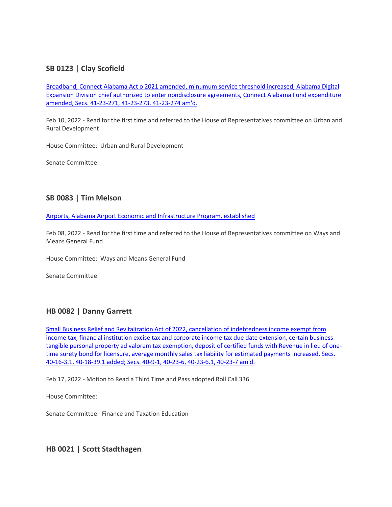### **SB 0123 | Clay Scofield**

[Broadband, Connect Alabama Act o 2021 amended, minumum](https://url.emailprotection.link/?bWZQ2OAas-nOPOIOCRKwAVD-m9cgCbBTYLJqqwPXR79MkWgwoza2RWffyjTn29nMRJZgRXxqY31qC44sB61ZawBGOw6Jsggvh0cjqxpCiPVd1Yo9L9Tts_KrCEQCqgtR39-U-3BTFsx9zayCKagpcKMqzoXg4jxsGlJvBwJK8mQOxhq-p7gW_P2-iZlWmIf8bX_r6lbD3suD2UMc8AKqcIsqKlfzjv7aehB1dnRbMHX0iPHimsXE8MPjF2v75oUDs513ZrqU1X5Ygy3l2qKZi2x6ut34Y1yoKqmbaYz-_D2eXyMJ-GG_euSHfa8flgdlGfNwYixGnSNGKVM-eugGnwHpwzqusflY5mGDO0oGHD12nEGUwx2W3bswsbV-I-Dsx_bLImAkXb0qhMLRkAvMV725Bot-3DmxWoNAQA2VUyilrpEpuBTwYaXJHUNmANKoWKgQRYzMqYoC5LTo4oY2tB-c7BOyRAQsY9vEQGNt-dhvM6f3PPT9Uomkm4S6U84524rokCsw_6x_nTh9CfJA_6fqxMCqfEIeneKLNTTbNn80mp6MOS4oiluww6tR5r_F9CLtrHjuilxjVyYcX1TKYUPJtdflHROy99_M7vqJCfz4nBL1GH9DQDTS_NYhIPDFu) service threshold increased, Alabama Digital [Expansion Division chief authorized to enter nondisclosure agreements, Connect Alabama Fund expenditure](https://url.emailprotection.link/?bWZQ2OAas-nOPOIOCRKwAVD-m9cgCbBTYLJqqwPXR79MkWgwoza2RWffyjTn29nMRJZgRXxqY31qC44sB61ZawBGOw6Jsggvh0cjqxpCiPVd1Yo9L9Tts_KrCEQCqgtR39-U-3BTFsx9zayCKagpcKMqzoXg4jxsGlJvBwJK8mQOxhq-p7gW_P2-iZlWmIf8bX_r6lbD3suD2UMc8AKqcIsqKlfzjv7aehB1dnRbMHX0iPHimsXE8MPjF2v75oUDs513ZrqU1X5Ygy3l2qKZi2x6ut34Y1yoKqmbaYz-_D2eXyMJ-GG_euSHfa8flgdlGfNwYixGnSNGKVM-eugGnwHpwzqusflY5mGDO0oGHD12nEGUwx2W3bswsbV-I-Dsx_bLImAkXb0qhMLRkAvMV725Bot-3DmxWoNAQA2VUyilrpEpuBTwYaXJHUNmANKoWKgQRYzMqYoC5LTo4oY2tB-c7BOyRAQsY9vEQGNt-dhvM6f3PPT9Uomkm4S6U84524rokCsw_6x_nTh9CfJA_6fqxMCqfEIeneKLNTTbNn80mp6MOS4oiluww6tR5r_F9CLtrHjuilxjVyYcX1TKYUPJtdflHROy99_M7vqJCfz4nBL1GH9DQDTS_NYhIPDFu)  [amended, Secs. 41-23-271, 41-23-273, 41-23-274 am'd.](https://url.emailprotection.link/?bWZQ2OAas-nOPOIOCRKwAVD-m9cgCbBTYLJqqwPXR79MkWgwoza2RWffyjTn29nMRJZgRXxqY31qC44sB61ZawBGOw6Jsggvh0cjqxpCiPVd1Yo9L9Tts_KrCEQCqgtR39-U-3BTFsx9zayCKagpcKMqzoXg4jxsGlJvBwJK8mQOxhq-p7gW_P2-iZlWmIf8bX_r6lbD3suD2UMc8AKqcIsqKlfzjv7aehB1dnRbMHX0iPHimsXE8MPjF2v75oUDs513ZrqU1X5Ygy3l2qKZi2x6ut34Y1yoKqmbaYz-_D2eXyMJ-GG_euSHfa8flgdlGfNwYixGnSNGKVM-eugGnwHpwzqusflY5mGDO0oGHD12nEGUwx2W3bswsbV-I-Dsx_bLImAkXb0qhMLRkAvMV725Bot-3DmxWoNAQA2VUyilrpEpuBTwYaXJHUNmANKoWKgQRYzMqYoC5LTo4oY2tB-c7BOyRAQsY9vEQGNt-dhvM6f3PPT9Uomkm4S6U84524rokCsw_6x_nTh9CfJA_6fqxMCqfEIeneKLNTTbNn80mp6MOS4oiluww6tR5r_F9CLtrHjuilxjVyYcX1TKYUPJtdflHROy99_M7vqJCfz4nBL1GH9DQDTS_NYhIPDFu)

Feb 10, 2022 - Read for the first time and referred to the House of Representatives committee on Urban and Rural Development

House Committee: Urban and Rural Development

Senate Committee:

#### **SB 0083 | Tim Melson**

[Airports, Alabama Airport Economic and Infrastructure Program, established](https://url.emailprotection.link/?bQcKfcKmspwi213vlMD9loRIUf22Y-M9Jo4Rvat5dvNG1-qsCBsBYshdf5Y3NAjQX1XdNjLAzB0Hxl60VEySXRAwcgCR_FMZHQeMsL2jFhEfnCaAIg-cYiyxNtt1u1L_9sUhWlmfjIB-9Jdm2o7yzQkGXS3s_cku1r5gVoiW_r_AZhdeb3dr0_Dx-6AWgQcuM4WPwx5tdXQmHwOI1BxiQ5inYK2deKrMh0vzFwjLNNKqJY11b8hxkIcE8LIoGW3fDGWXU_0Rs_x7aziuKvh1wltZzIUR7w1AQBmjavHbIScRu2V3C7KDwh4LaX2dpgwRhkK3-_HwmsOOm0jlSbOlJ3L8AycBjpZcdQHit8WgF4iGI2SkloXC-NU1UoQFRL1l73SXI8_Olu7CDS8RTdTlmOfUP3-pU8dPQMAy7MkLKNyrYTqpaA7Ng2tppv0F7BTKI0z0r1efU30Pd1Oh8KnIxhfoyMieed-G9vuNKfEu5Ks5FWEFFB9s9YK78gHOWqARkGpcdx7ljBey0AXzIzck0A8ImFezoIbn_25WPVotovzIBuTMrOq0jmM33VYbARWp41biTGBqqOkV8fhuq2XQ-s5kca6qO_JFZkB6KziDVlrddK7po_9ZgzfexaPrEVRhw)

Feb 08, 2022 - Read for the first time and referred to the House of Representatives committee on Ways and Means General Fund

House Committee: Ways and Means General Fund

Senate Committee:

#### **HB 0082 | Danny Garrett**

[Small Business Relief and Revitalization Act of 2022, cancellation of indebtedness income exempt from](https://url.emailprotection.link/?br0u1fMe1aTkB4qR5J3GtKeytNGBVMMBZiz12zZBzY2WH4ukQ-jT5OCcNmOFp6jWbBbVCFmAcdPfkWUROTtcz1LdVrYJXoNGi6pe0QQDedIDz3_TTx2ufIhHuoC_NAosXdjoFoYz-EjaBNJvnPKtwgc_ZW5B23JP_qLmmLDHknti2SyTgZgSz10CeGVwMNYSEnxkW7O-P6H2ShZXnLbYVhiU2HWQqdKhcd9l7fyRmBEz0cwReosfWUDwrn9E5mPV2WmQYL5KW3q5yNREUy5UtT8ASTm9pxuKkKEPEYTFtSxiIl01yFnyxm-1ZaB9dC33S-JC4CyS1VRNaNEAoPcaWnQ5h-HbxjnGs8XCOCn8CdFAC3yG0GGDxN7SDStnOmPt1CnsKaN2gjpnhTmXgP9iUoRlxjhS1fmLttnwdzW7Hh1T2caxpxaBb5UaxhCXmXK6hfcsTac7HFucIR1d2xyLLJp3OwqGA8rlJRHP59E_2rSRpbRpp4GekWPd-VBqmKEhno11MFBdMQNlmzQ_n255X-Q9vNyzbcI3q7KY5VRRjCQxRN-JbJmEoA5MOmYDjgps1LbuXKWQu8rfkza8dXY1Vu-pyS39XzCMY6DtBQNHkla3pmKgTON3mJKnK3Y-HOcjI)  [income tax, financial institution excise tax and corporate income tax due date extension, certain business](https://url.emailprotection.link/?br0u1fMe1aTkB4qR5J3GtKeytNGBVMMBZiz12zZBzY2WH4ukQ-jT5OCcNmOFp6jWbBbVCFmAcdPfkWUROTtcz1LdVrYJXoNGi6pe0QQDedIDz3_TTx2ufIhHuoC_NAosXdjoFoYz-EjaBNJvnPKtwgc_ZW5B23JP_qLmmLDHknti2SyTgZgSz10CeGVwMNYSEnxkW7O-P6H2ShZXnLbYVhiU2HWQqdKhcd9l7fyRmBEz0cwReosfWUDwrn9E5mPV2WmQYL5KW3q5yNREUy5UtT8ASTm9pxuKkKEPEYTFtSxiIl01yFnyxm-1ZaB9dC33S-JC4CyS1VRNaNEAoPcaWnQ5h-HbxjnGs8XCOCn8CdFAC3yG0GGDxN7SDStnOmPt1CnsKaN2gjpnhTmXgP9iUoRlxjhS1fmLttnwdzW7Hh1T2caxpxaBb5UaxhCXmXK6hfcsTac7HFucIR1d2xyLLJp3OwqGA8rlJRHP59E_2rSRpbRpp4GekWPd-VBqmKEhno11MFBdMQNlmzQ_n255X-Q9vNyzbcI3q7KY5VRRjCQxRN-JbJmEoA5MOmYDjgps1LbuXKWQu8rfkza8dXY1Vu-pyS39XzCMY6DtBQNHkla3pmKgTON3mJKnK3Y-HOcjI)  [tangible personal property ad valorem tax exemption, deposit of certified funds with Revenue in lieu of one](https://url.emailprotection.link/?br0u1fMe1aTkB4qR5J3GtKeytNGBVMMBZiz12zZBzY2WH4ukQ-jT5OCcNmOFp6jWbBbVCFmAcdPfkWUROTtcz1LdVrYJXoNGi6pe0QQDedIDz3_TTx2ufIhHuoC_NAosXdjoFoYz-EjaBNJvnPKtwgc_ZW5B23JP_qLmmLDHknti2SyTgZgSz10CeGVwMNYSEnxkW7O-P6H2ShZXnLbYVhiU2HWQqdKhcd9l7fyRmBEz0cwReosfWUDwrn9E5mPV2WmQYL5KW3q5yNREUy5UtT8ASTm9pxuKkKEPEYTFtSxiIl01yFnyxm-1ZaB9dC33S-JC4CyS1VRNaNEAoPcaWnQ5h-HbxjnGs8XCOCn8CdFAC3yG0GGDxN7SDStnOmPt1CnsKaN2gjpnhTmXgP9iUoRlxjhS1fmLttnwdzW7Hh1T2caxpxaBb5UaxhCXmXK6hfcsTac7HFucIR1d2xyLLJp3OwqGA8rlJRHP59E_2rSRpbRpp4GekWPd-VBqmKEhno11MFBdMQNlmzQ_n255X-Q9vNyzbcI3q7KY5VRRjCQxRN-JbJmEoA5MOmYDjgps1LbuXKWQu8rfkza8dXY1Vu-pyS39XzCMY6DtBQNHkla3pmKgTON3mJKnK3Y-HOcjI)time surety bond for licensure, average monthly sales tax liability for estimated payments increased, Secs. [40-16-3.1, 40-18-39.1 added; Secs. 40-9-1, 40-23-6, 40-23-6.1, 40-23-7 am'd.](https://url.emailprotection.link/?br0u1fMe1aTkB4qR5J3GtKeytNGBVMMBZiz12zZBzY2WH4ukQ-jT5OCcNmOFp6jWbBbVCFmAcdPfkWUROTtcz1LdVrYJXoNGi6pe0QQDedIDz3_TTx2ufIhHuoC_NAosXdjoFoYz-EjaBNJvnPKtwgc_ZW5B23JP_qLmmLDHknti2SyTgZgSz10CeGVwMNYSEnxkW7O-P6H2ShZXnLbYVhiU2HWQqdKhcd9l7fyRmBEz0cwReosfWUDwrn9E5mPV2WmQYL5KW3q5yNREUy5UtT8ASTm9pxuKkKEPEYTFtSxiIl01yFnyxm-1ZaB9dC33S-JC4CyS1VRNaNEAoPcaWnQ5h-HbxjnGs8XCOCn8CdFAC3yG0GGDxN7SDStnOmPt1CnsKaN2gjpnhTmXgP9iUoRlxjhS1fmLttnwdzW7Hh1T2caxpxaBb5UaxhCXmXK6hfcsTac7HFucIR1d2xyLLJp3OwqGA8rlJRHP59E_2rSRpbRpp4GekWPd-VBqmKEhno11MFBdMQNlmzQ_n255X-Q9vNyzbcI3q7KY5VRRjCQxRN-JbJmEoA5MOmYDjgps1LbuXKWQu8rfkza8dXY1Vu-pyS39XzCMY6DtBQNHkla3pmKgTON3mJKnK3Y-HOcjI)

Feb 17, 2022 - Motion to Read a Third Time and Pass adopted Roll Call 336

House Committee:

Senate Committee: Finance and Taxation Education

**HB 0021 | Scott Stadthagen**